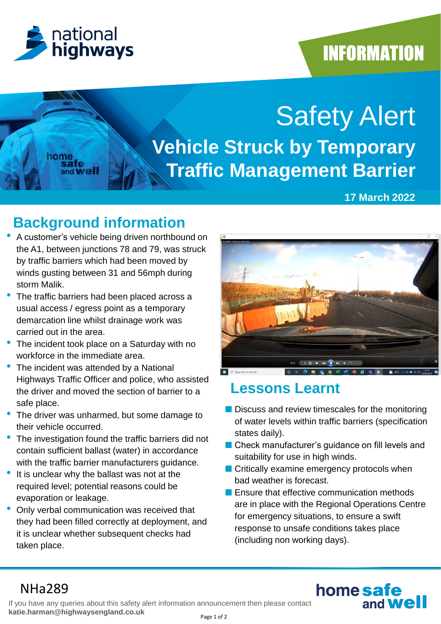

home

and Well

## **INFORMATION**

# Safety Alert **Vehicle Struck by Temporary Traffic Management Barrier**

#### **17 March 2022**

## **Background information**

- A customer's vehicle being driven northbound on the A1, between junctions 78 and 79, was struck by traffic barriers which had been moved by winds gusting between 31 and 56mph during storm Malik.
- The traffic barriers had been placed across a usual access / egress point as a temporary demarcation line whilst drainage work was carried out in the area.
- The incident took place on a Saturday with no workforce in the immediate area.
- The incident was attended by a National Highways Traffic Officer and police, who assisted the driver and moved the section of barrier to a safe place.
- The driver was unharmed, but some damage to their vehicle occurred.
- The investigation found the traffic barriers did not contain sufficient ballast (water) in accordance with the traffic barrier manufacturers guidance.
- It is unclear why the ballast was not at the required level; potential reasons could be evaporation or leakage.
- Only verbal communication was received that they had been filled correctly at deployment, and it is unclear whether subsequent checks had taken place.



## **Lessons Learnt**

- Discuss and review timescales for the monitoring of water levels within traffic barriers (specification states daily).
- Check manufacturer's guidance on fill levels and suitability for use in high winds.
- Critically examine emergency protocols when bad weather is forecast.
- Ensure that effective communication methods are in place with the Regional Operations Centre for emergency situations, to ensure a swift response to unsafe conditions takes place (including non working days).

home safe

and **We** 

## NHa289

If you have any queries about this safety alert information announcement then please contact **katie.harman@highwaysengland.co.uk**